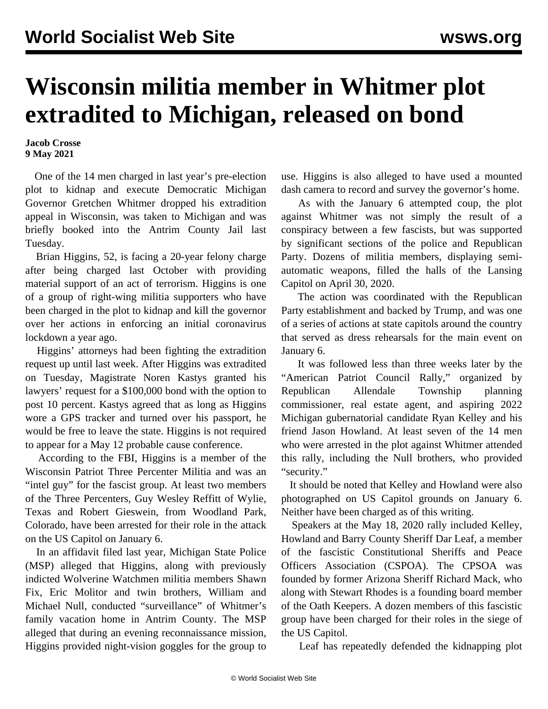## **Wisconsin militia member in Whitmer plot extradited to Michigan, released on bond**

**Jacob Crosse 9 May 2021**

 One of the 14 men charged in last year's pre-election plot to kidnap and execute Democratic Michigan Governor Gretchen Whitmer dropped his extradition appeal in Wisconsin, was taken to Michigan and was briefly booked into the Antrim County Jail last Tuesday.

 Brian Higgins, 52, is facing a 20-year felony charge after being charged last October with providing material support of an act of terrorism. Higgins is one of a group of right-wing militia supporters who have been charged in the plot to kidnap and kill the governor over her actions in enforcing an initial coronavirus lockdown a year ago.

 Higgins' attorneys had been fighting the extradition request up until last week. After Higgins was extradited on Tuesday, Magistrate Noren Kastys granted his lawyers' request for a \$100,000 bond with the option to post 10 percent. Kastys agreed that as long as Higgins wore a GPS tracker and turned over his passport, he would be free to leave the state. Higgins is not required to appear for a May 12 probable cause conference.

 According to the FBI, Higgins is a member of the Wisconsin Patriot Three Percenter Militia and was an "intel guy" for the fascist group. At least two members of the Three Percenters, Guy Wesley Reffitt of Wylie, Texas and Robert Gieswein, from Woodland Park, Colorado, have been arrested for their role in the attack on the US Capitol on January 6.

 In an affidavit filed last year, Michigan State Police (MSP) alleged that Higgins, along with previously indicted Wolverine Watchmen militia members Shawn Fix, Eric Molitor and twin brothers, William and Michael Null, conducted "surveillance" of Whitmer's family vacation home in Antrim County. The MSP alleged that during an evening reconnaissance mission, Higgins provided night-vision goggles for the group to use. Higgins is also alleged to have used a mounted dash camera to record and survey the governor's home.

 As with the January 6 attempted coup, the plot against Whitmer was not simply the result of a conspiracy between a few fascists, but was supported by significant sections of the police and Republican Party. Dozens of militia members, displaying semiautomatic weapons, filled the halls of the Lansing Capitol on April 30, 2020.

 The action was coordinated with the Republican Party establishment and backed by Trump, and was one of a series of actions at state capitols around the country that served as dress rehearsals for the main event on January 6.

 It was followed less than three weeks later by the "American Patriot Council Rally," organized by Republican Allendale Township planning commissioner, real estate agent, and aspiring 2022 Michigan gubernatorial candidate Ryan Kelley and his friend Jason Howland. At least seven of the 14 men who were arrested in the plot against Whitmer attended this rally, including the Null brothers, who provided "security."

 It should be noted that [Kelley](https://twitter.com/FordFischer/status/1353871930668052480) and [Howland](https://twitter.com/michigantea/status/1350984037024878594) were also photographed on US Capitol grounds on January 6. Neither have been charged as of this writing.

 Speakers at the May 18, 2020 rally included Kelley, Howland and Barry County Sheriff Dar Leaf, a member of the fascistic Constitutional Sheriffs and Peace Officers Association (CSPOA). The CPSOA was founded by former Arizona Sheriff Richard Mack, who along with Stewart Rhodes is a founding board member of the Oath Keepers. A dozen members of this fascistic group have been charged for their roles in the siege of the US Capitol.

Leaf has repeatedly defended the kidnapping plot